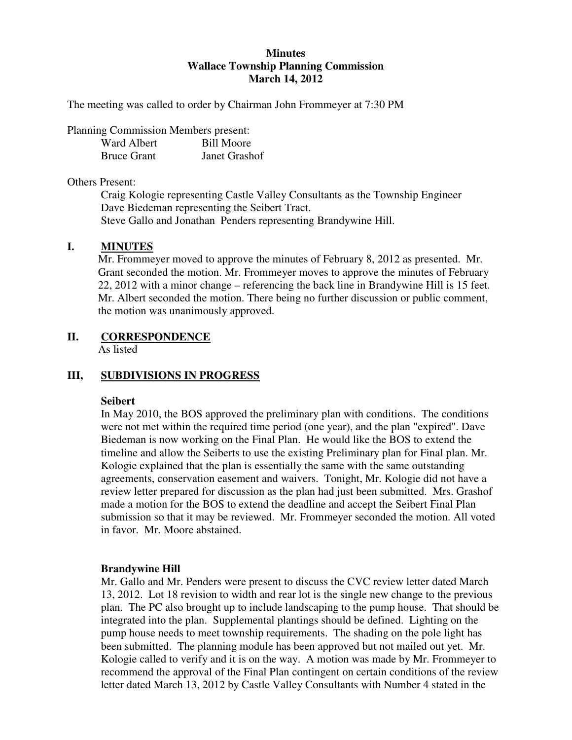## **Minutes Wallace Township Planning Commission March 14, 2012**

The meeting was called to order by Chairman John Frommeyer at 7:30 PM

Planning Commission Members present:

| Ward Albert        | <b>Bill Moore</b> |
|--------------------|-------------------|
| <b>Bruce Grant</b> | Janet Grashof     |

#### Others Present:

Craig Kologie representing Castle Valley Consultants as the Township Engineer Dave Biedeman representing the Seibert Tract. Steve Gallo and Jonathan Penders representing Brandywine Hill.

### **I. MINUTES**

Mr. Frommeyer moved to approve the minutes of February 8, 2012 as presented. Mr. Grant seconded the motion. Mr. Frommeyer moves to approve the minutes of February 22, 2012 with a minor change – referencing the back line in Brandywine Hill is 15 feet. Mr. Albert seconded the motion. There being no further discussion or public comment, the motion was unanimously approved.

## **II. CORRESPONDENCE**

As listed

## **III, SUBDIVISIONS IN PROGRESS**

#### **Seibert**

In May 2010, the BOS approved the preliminary plan with conditions. The conditions were not met within the required time period (one year), and the plan "expired". Dave Biedeman is now working on the Final Plan. He would like the BOS to extend the timeline and allow the Seiberts to use the existing Preliminary plan for Final plan. Mr. Kologie explained that the plan is essentially the same with the same outstanding agreements, conservation easement and waivers. Tonight, Mr. Kologie did not have a review letter prepared for discussion as the plan had just been submitted. Mrs. Grashof made a motion for the BOS to extend the deadline and accept the Seibert Final Plan submission so that it may be reviewed. Mr. Frommeyer seconded the motion. All voted in favor. Mr. Moore abstained.

#### **Brandywine Hill**

Mr. Gallo and Mr. Penders were present to discuss the CVC review letter dated March 13, 2012. Lot 18 revision to width and rear lot is the single new change to the previous plan. The PC also brought up to include landscaping to the pump house. That should be integrated into the plan. Supplemental plantings should be defined. Lighting on the pump house needs to meet township requirements. The shading on the pole light has been submitted. The planning module has been approved but not mailed out yet. Mr. Kologie called to verify and it is on the way. A motion was made by Mr. Frommeyer to recommend the approval of the Final Plan contingent on certain conditions of the review letter dated March 13, 2012 by Castle Valley Consultants with Number 4 stated in the